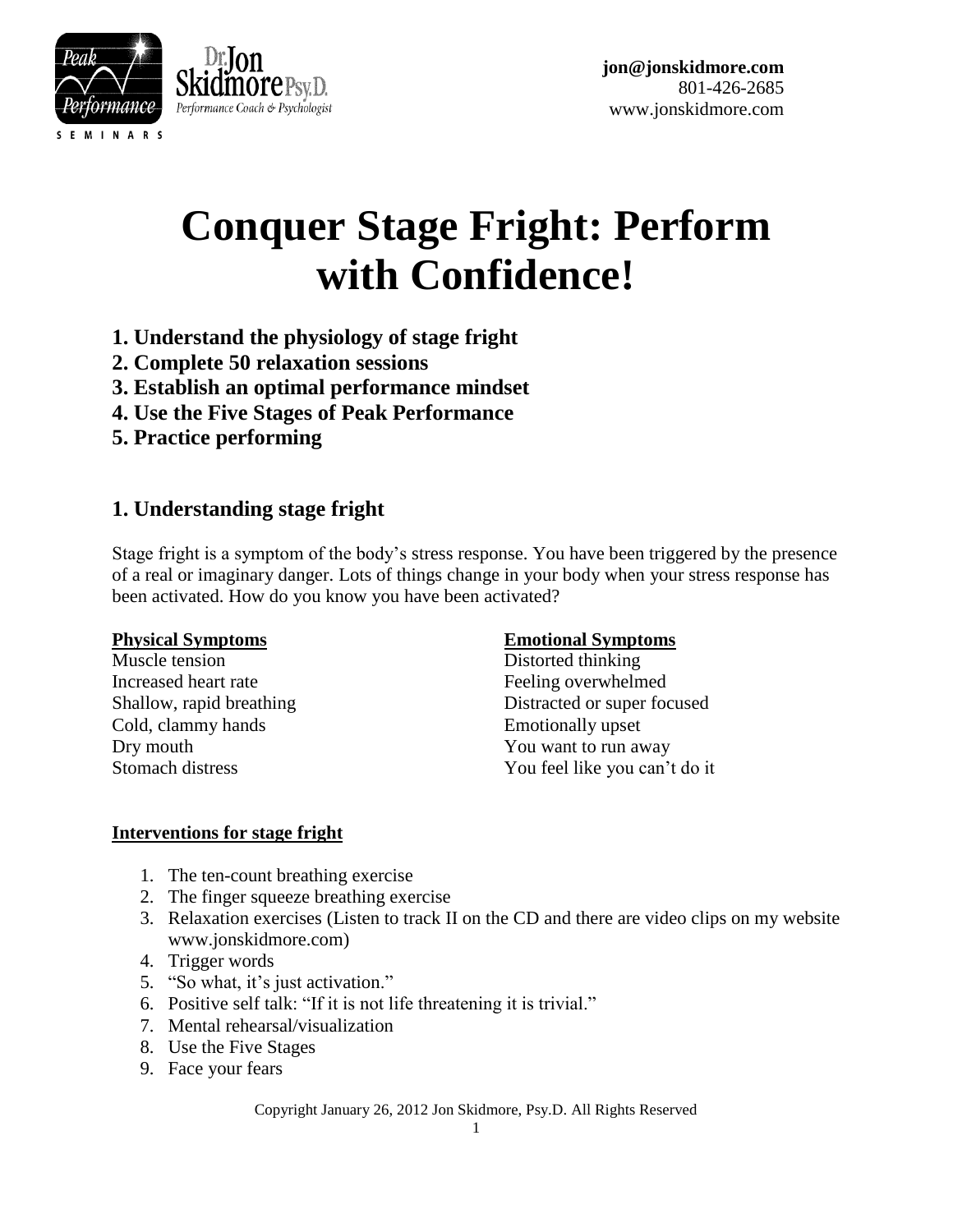



# **Conquer Stage Fright: Perform with Confidence!**

- **1. Understand the physiology of stage fright**
- **2. Complete 50 relaxation sessions**
- **3. Establish an optimal performance mindset**
- **4. Use the Five Stages of Peak Performance**
- **5. Practice performing**

# **1. Understanding stage fright**

Stage fright is a symptom of the body's stress response. You have been triggered by the presence of a real or imaginary danger. Lots of things change in your body when your stress response has been activated. How do you know you have been activated?

Muscle tension Distorted thinking Increased heart rate Feeling overwhelmed Cold, clammy hands Emotionally upset Dry mouth You want to run away

### **Physical Symptoms Emotional Symptoms**

Shallow, rapid breathing Distracted or super focused Stomach distress You feel like you can't do it

### **Interventions for stage fright**

- 1. The ten-count breathing exercise
- 2. The finger squeeze breathing exercise
- 3. Relaxation exercises (Listen to track II on the CD and there are video clips on my website www.jonskidmore.com)
- 4. Trigger words
- 5. "So what, it's just activation."
- 6. Positive self talk: "If it is not life threatening it is trivial."
- 7. Mental rehearsal/visualization
- 8. Use the Five Stages
- 9. Face your fears

Copyright January 26, 2012 Jon Skidmore, Psy.D. All Rights Reserved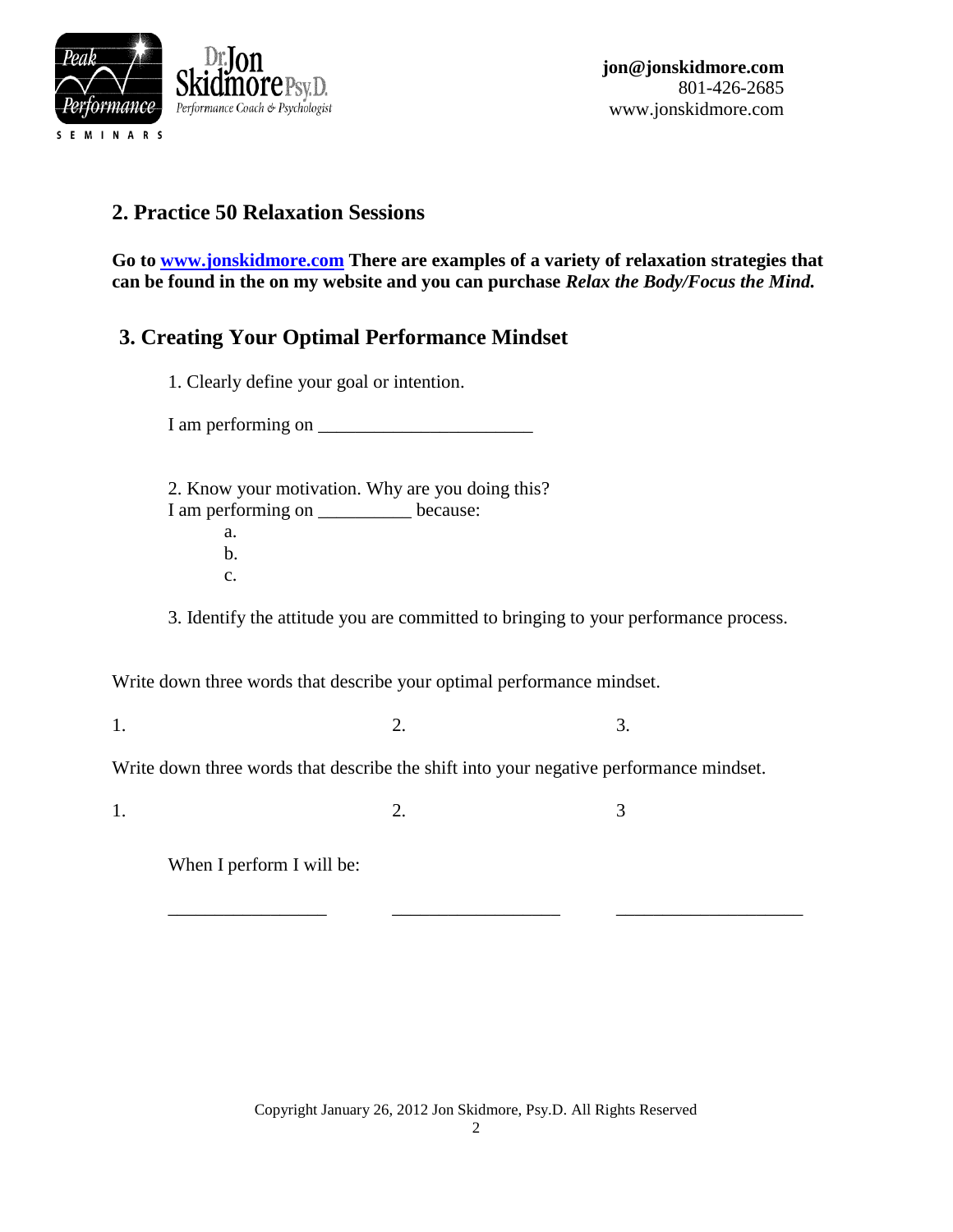

# **2. Practice 50 Relaxation Sessions**

**Go to [www.jonskidmore.com](http://www.jonskidmore.com/) There are examples of a variety of relaxation strategies that can be found in the on my website and you can purchase** *Relax the Body/Focus the Mind.*

# **3. Creating Your Optimal Performance Mindset**

1. Clearly define your goal or intention.

I am performing on \_\_\_\_\_\_\_\_\_\_\_\_\_\_\_\_\_\_\_\_\_\_\_

2. Know your motivation. Why are you doing this? I am performing on \_\_\_\_\_\_\_\_\_\_ because: a. b. c.

3. Identify the attitude you are committed to bringing to your performance process.

Write down three words that describe your optimal performance mindset.

 $1.$  2. 3.

Write down three words that describe the shift into your negative performance mindset.

1. 2. 3

When I perform I will be:

\_\_\_\_\_\_\_\_\_\_\_\_\_\_\_\_\_ \_\_\_\_\_\_\_\_\_\_\_\_\_\_\_\_\_\_ \_\_\_\_\_\_\_\_\_\_\_\_\_\_\_\_\_\_\_\_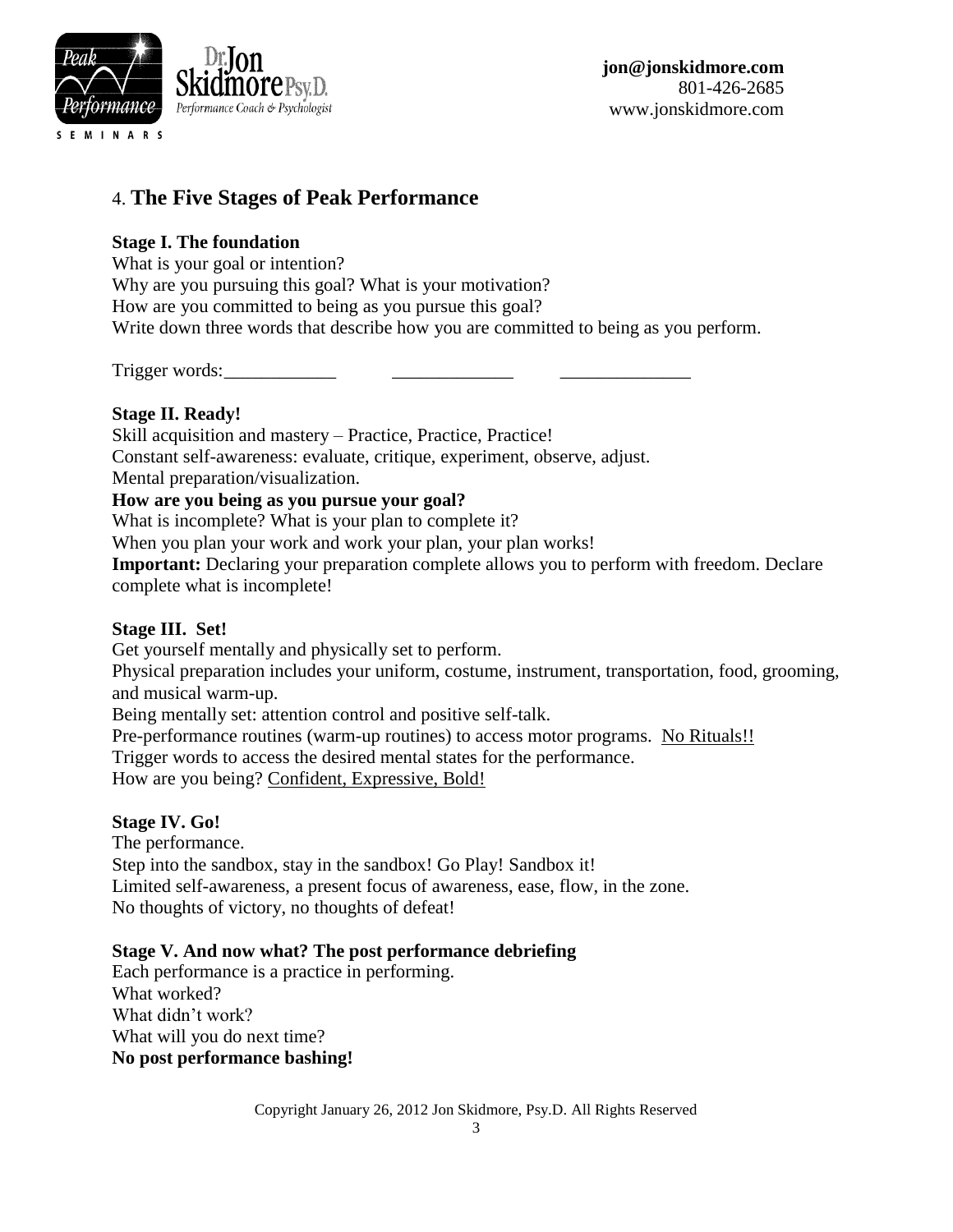

# 4. **The Five Stages of Peak Performance**

#### **Stage I. The foundation**

What is your goal or intention? Why are you pursuing this goal? What is your motivation? How are you committed to being as you pursue this goal? Write down three words that describe how you are committed to being as you perform.

Trigger words:

#### **Stage II. Ready!**

Skill acquisition and mastery – Practice, Practice, Practice! Constant self-awareness: evaluate, critique, experiment, observe, adjust. Mental preparation/visualization. **How are you being as you pursue your goal?** What is incomplete? What is your plan to complete it?

When you plan your work and work your plan, your plan works!

**Important:** Declaring your preparation complete allows you to perform with freedom. Declare complete what is incomplete!

#### **Stage III. Set!**

Get yourself mentally and physically set to perform.

Physical preparation includes your uniform, costume, instrument, transportation, food, grooming, and musical warm-up.

Being mentally set: attention control and positive self-talk.

Pre-performance routines (warm-up routines) to access motor programs. No Rituals!!

Trigger words to access the desired mental states for the performance.

How are you being? Confident, Expressive, Bold!

#### **Stage IV. Go!**

The performance. Step into the sandbox, stay in the sandbox! Go Play! Sandbox it! Limited self-awareness, a present focus of awareness, ease, flow, in the zone. No thoughts of victory, no thoughts of defeat!

#### **Stage V. And now what? The post performance debriefing**

Each performance is a practice in performing. What worked? What didn't work? What will you do next time? **No post performance bashing!**